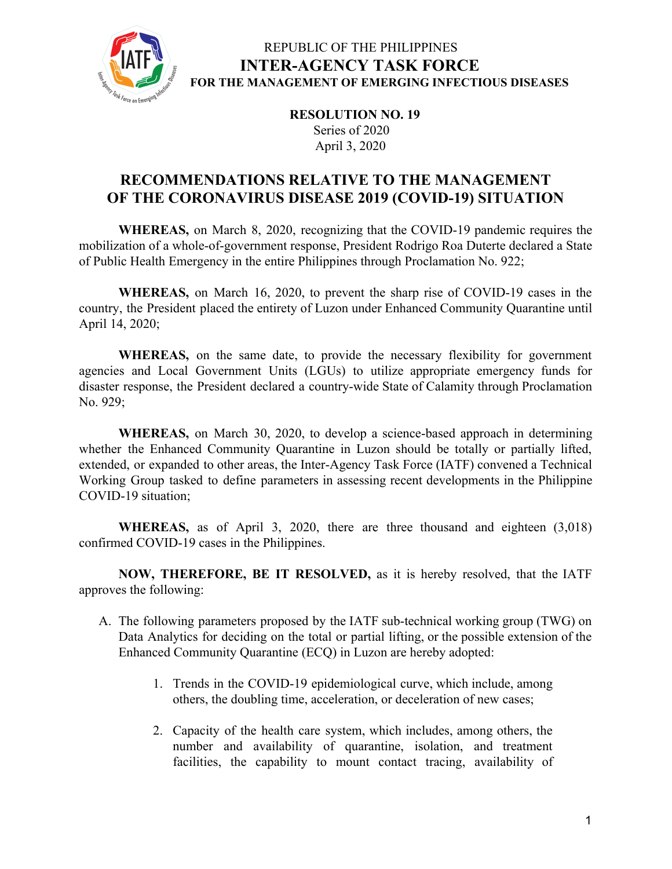

### REPUBLIC OF THE PHILIPPINES **INTER-AGENCY TASK FORCE FOR THE MANAGEMENT OF EMERGING INFECTIOUS DISEASES**

**RESOLUTION NO. 19** Series of 2020 April 3, 2020

### **RECOMMENDATIONS RELATIVE TO THE MANAGEMENT OF THE CORONAVIRUS DISEASE 2019 (COVID-19) SITUATION**

**WHEREAS,** on March 8, 2020, recognizing that the COVID-19 pandemic requires the mobilization of a whole-of-government response, President Rodrigo Roa Duterte declared a State of Public Health Emergency in the entire Philippines through Proclamation No. 922;

**WHEREAS,** on March 16, 2020, to prevent the sharp rise of COVID-19 cases in the country, the President placed the entirety of Luzon under Enhanced Community Quarantine until April 14, 2020;

**WHEREAS,** on the same date, to provide the necessary flexibility for government agencies and Local Government Units (LGUs) to utilize appropriate emergency funds for disaster response, the President declared a country-wide State of Calamity through Proclamation No. 929;

**WHEREAS,** on March 30, 2020, to develop a science-based approach in determining whether the Enhanced Community Quarantine in Luzon should be totally or partially lifted, extended, or expanded to other areas, the Inter-Agency Task Force (IATF) convened a Technical Working Group tasked to define parameters in assessing recent developments in the Philippine COVID-19 situation;

**WHEREAS,** as of April 3, 2020, there are three thousand and eighteen (3,018) confirmed COVID-19 cases in the Philippines.

**NOW, THEREFORE, BE IT RESOLVED,** as it is hereby resolved, that the IATF approves the following:

- A. The following parameters proposed by the IATF sub-technical working group (TWG) on Data Analytics for deciding on the total or partial lifting, or the possible extension of the Enhanced Community Quarantine (ECQ) in Luzon are hereby adopted:
	- 1. Trends in the COVID-19 epidemiological curve, which include, among others, the doubling time, acceleration, or deceleration of new cases;
	- 2. Capacity of the health care system, which includes, among others, the number and availability of quarantine, isolation, and treatment facilities, the capability to mount contact tracing, availability of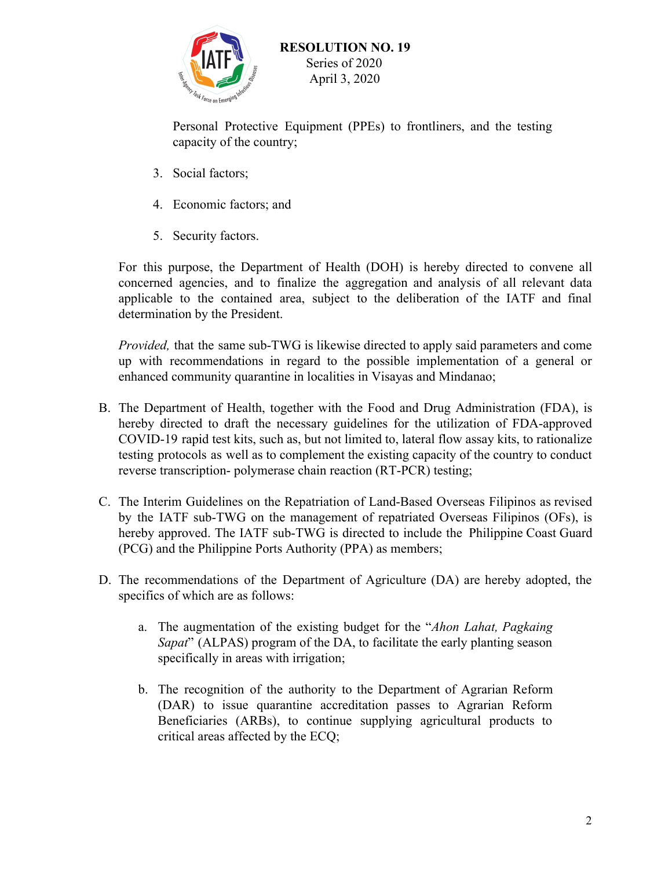

Personal Protective Equipment (PPEs) to frontliners, and the testing capacity of the country;

- 3. Social factors;
- 4. Economic factors; and
- 5. Security factors.

For this purpose, the Department of Health (DOH) is hereby directed to convene all concerned agencies, and to finalize the aggregation and analysis of all relevant data applicable to the contained area, subject to the deliberation of the IATF and final determination by the President.

*Provided,* that the same sub-TWG is likewise directed to apply said parameters and come up with recommendations in regard to the possible implementation of a general or enhanced community quarantine in localities in Visayas and Mindanao;

- B. The Department of Health, together with the Food and Drug Administration (FDA), is hereby directed to draft the necessary guidelines for the utilization of FDA-approved COVID-19 rapid test kits, such as, but not limited to, lateral flow assay kits, to rationalize testing protocols as well as to complement the existing capacity of the country to conduct reverse transcription- polymerase chain reaction (RT-PCR) testing;
- C. The Interim Guidelines on the Repatriation of Land-Based Overseas Filipinos as revised by the IATF sub-TWG on the management of repatriated Overseas Filipinos (OFs), is hereby approved. The IATF sub-TWG is directed to include the Philippine Coast Guard (PCG) and the Philippine Ports Authority (PPA) as members;
- D. The recommendations of the Department of Agriculture (DA) are hereby adopted, the specifics of which are as follows:
	- a. The augmentation of the existing budget for the "*Ahon Lahat, Pagkaing Sapat*" (ALPAS) program of the DA, to facilitate the early planting season specifically in areas with irrigation;
	- b. The recognition of the authority to the Department of Agrarian Reform (DAR) to issue quarantine accreditation passes to Agrarian Reform Beneficiaries (ARBs), to continue supplying agricultural products to critical areas affected by the ECQ;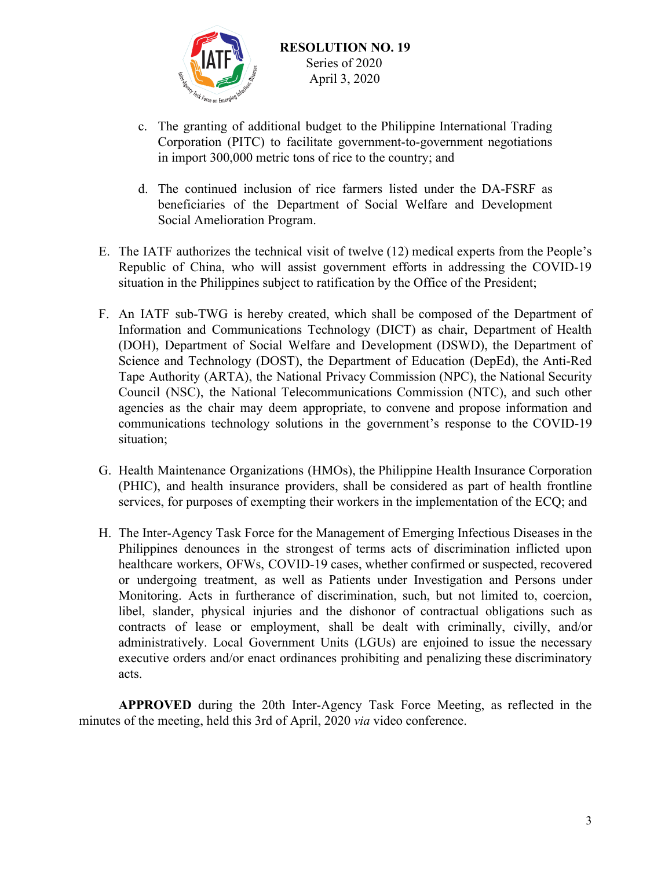

- c. The granting of additional budget to the Philippine International Trading Corporation (PITC) to facilitate government-to-government negotiations in import 300,000 metric tons of rice to the country; and
- d. The continued inclusion of rice farmers listed under the DA-FSRF as beneficiaries of the Department of Social Welfare and Development Social Amelioration Program.
- E. The IATF authorizes the technical visit of twelve (12) medical experts from the People's Republic of China, who will assist government efforts in addressing the COVID-19 situation in the Philippines subject to ratification by the Office of the President;
- F. An IATF sub-TWG is hereby created, which shall be composed of the Department of Information and Communications Technology (DICT) as chair, Department of Health (DOH), Department of Social Welfare and Development (DSWD), the Department of Science and Technology (DOST), the Department of Education (DepEd), the Anti-Red Tape Authority (ARTA), the National Privacy Commission (NPC), the National Security Council (NSC), the National Telecommunications Commission (NTC), and such other agencies as the chair may deem appropriate, to convene and propose information and communications technology solutions in the government's response to the COVID-19 situation;
- G. Health Maintenance Organizations (HMOs), the Philippine Health Insurance Corporation (PHIC), and health insurance providers, shall be considered as part of health frontline services, for purposes of exempting their workers in the implementation of the ECQ; and
- H. The Inter-Agency Task Force for the Management of Emerging Infectious Diseases in the Philippines denounces in the strongest of terms acts of discrimination inflicted upon healthcare workers, OFWs, COVID-19 cases, whether confirmed or suspected, recovered or undergoing treatment, as well as Patients under Investigation and Persons under Monitoring. Acts in furtherance of discrimination, such, but not limited to, coercion, libel, slander, physical injuries and the dishonor of contractual obligations such as contracts of lease or employment, shall be dealt with criminally, civilly, and/or administratively. Local Government Units (LGUs) are enjoined to issue the necessary executive orders and/or enact ordinances prohibiting and penalizing these discriminatory acts.

**APPROVED** during the 20th Inter-Agency Task Force Meeting, as reflected in the minutes of the meeting, held this 3rd of April, 2020 *via* video conference.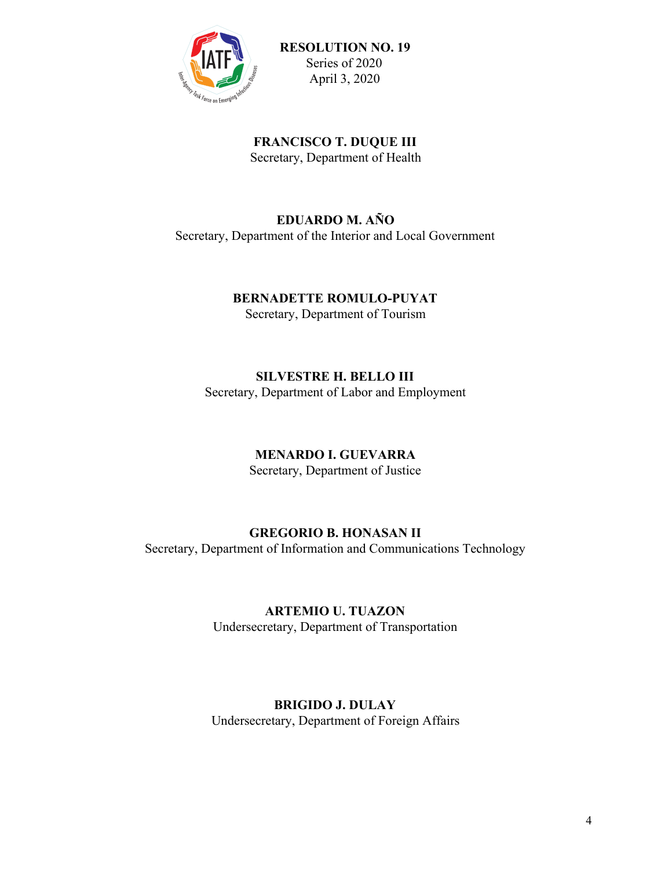

**FRANCISCO T. DUQUE III** Secretary, Department of Health

#### **EDUARDO M. AÑO** Secretary, Department of the Interior and Local Government

### **BERNADETTE ROMULO-PUYAT**

Secretary, Department of Tourism

### **SILVESTRE H. BELLO III**

Secretary, Department of Labor and Employment

### **MENARDO I. GUEVARRA**

Secretary, Department of Justice

### **GREGORIO B. HONASAN II**

Secretary, Department of Information and Communications Technology

### **ARTEMIO U. TUAZON**

Undersecretary, Department of Transportation

### **BRIGIDO J. DULAY**

Undersecretary, Department of Foreign Affairs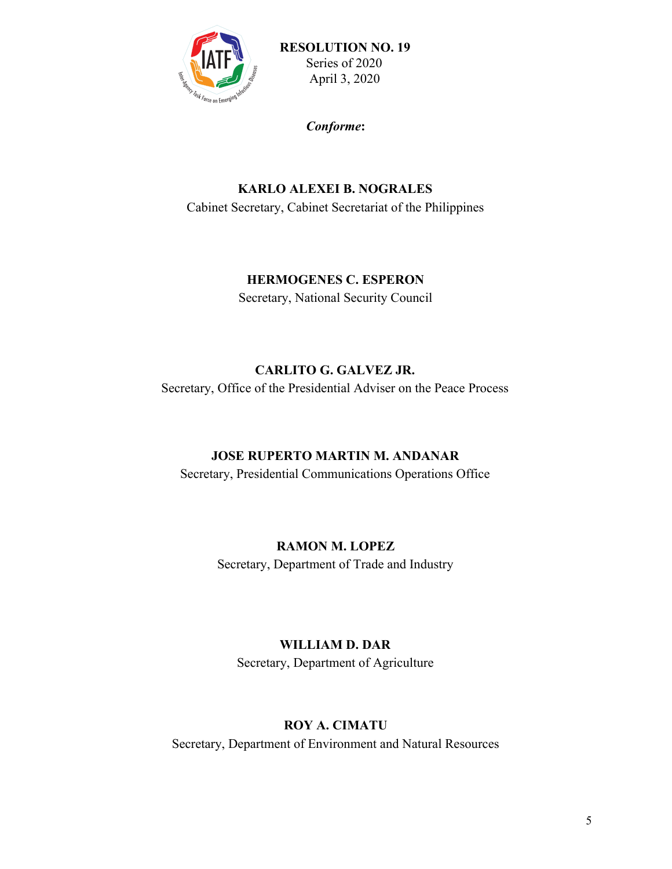

*Conforme***:**

## **KARLO ALEXEI B. NOGRALES** Cabinet Secretary, Cabinet Secretariat of the Philippines

### **HERMOGENES C. ESPERON**

Secretary, National Security Council

### **CARLITO G. GALVEZ JR.**

Secretary, Office of the Presidential Adviser on the Peace Process

### **JOSE RUPERTO MARTIN M. ANDANAR**

Secretary, Presidential Communications Operations Office

### **RAMON M. LOPEZ**

Secretary, Department of Trade and Industry

# **WILLIAM D. DAR**

Secretary, Department of Agriculture

### **ROY A. CIMATU**

Secretary, Department of Environment and Natural Resources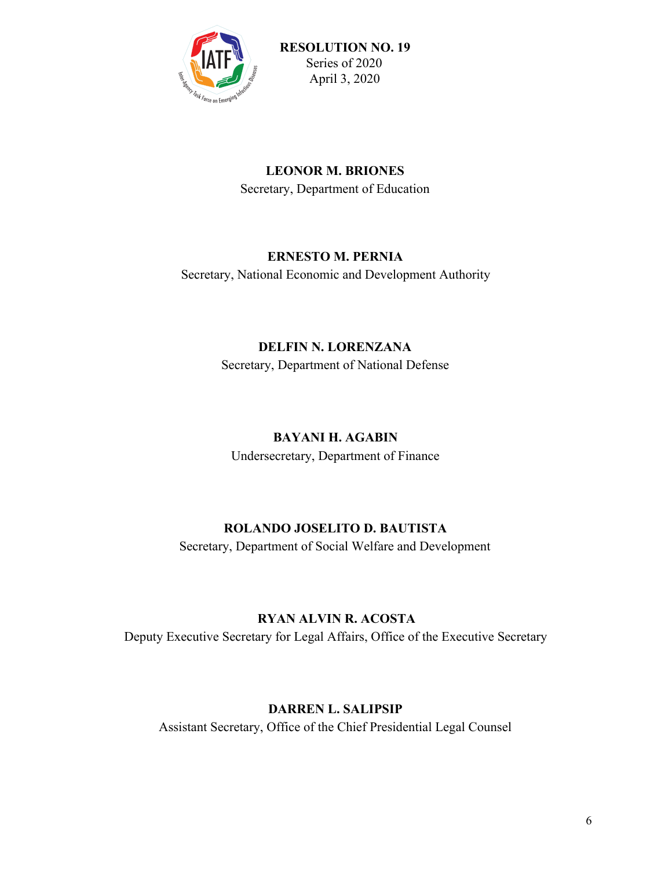

### **LEONOR M. BRIONES** Secretary, Department of Education

### **ERNESTO M. PERNIA**

Secretary, National Economic and Development Authority

## **DELFIN N. LORENZANA** Secretary, Department of National Defense

# **BAYANI H. AGABIN**

Undersecretary, Department of Finance

### **ROLANDO JOSELITO D. BAUTISTA**

Secretary, Department of Social Welfare and Development

### **RYAN ALVIN R. ACOSTA**

Deputy Executive Secretary for Legal Affairs, Office of the Executive Secretary

# **DARREN L. SALIPSIP**

Assistant Secretary, Office of the Chief Presidential Legal Counsel